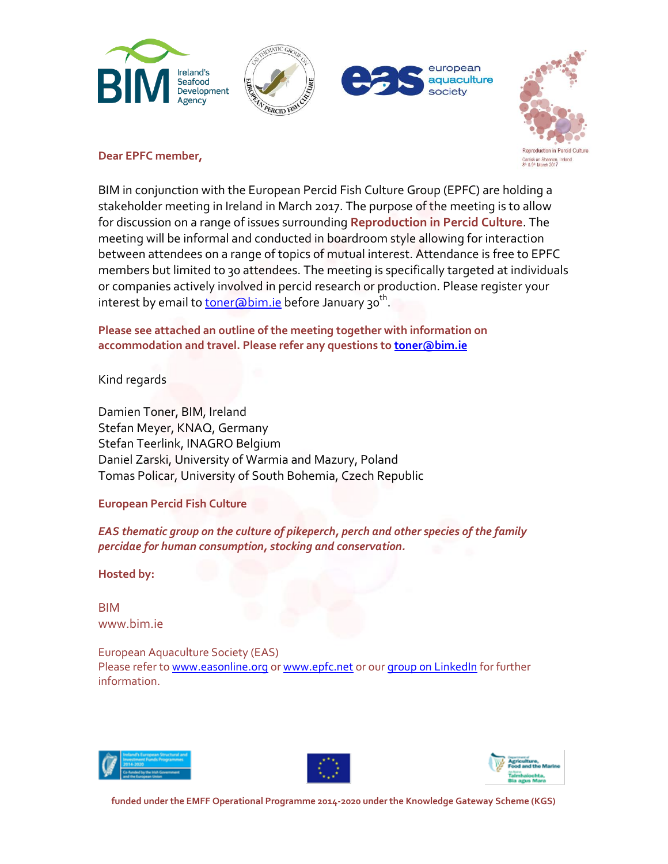





### **Dear EPFC member,**

BIM in conjunction with the European Percid Fish Culture Group (EPFC) are holding a stakeholder meeting in Ireland in March 2017. The purpose of the meeting is to allow for discussion on a range of issues surrounding **Reproduction in Percid Culture**. The meeting will be informal and conducted in boardroom style allowing for interaction between attendees on a range of topics of mutual interest. Attendance is free to EPFC members but limited to 30 attendees. The meeting is specifically targeted at individuals or companies actively involved in percid research or production. Please register your interest by email to <u>toner@bim.ie</u> before January 30<sup>th</sup>.

**Please see attached an outline of the meeting together with information on accommodation and travel. Please refer any questions to [toner@bim.ie](mailto:toner@bim.ie)**

Kind regards

Damien Toner, BIM, Ireland Stefan Meyer, KNAQ, Germany Stefan Teerlink, INAGRO Belgium Daniel Zarski, University of Warmia and Mazury, Poland Tomas Policar, University of South Bohemia, Czech Republic

## **European Percid Fish Culture**

*EAS thematic group on the culture of pikeperch, perch and other species of the family percidae for human consumption, stocking and conservation.*

**Hosted by:**

BIM www.bim.ie

European Aquaculture Society (EAS) Please refer to [www.easonline.org](http://www.easonline.org/) or [www.epfc.net](http://www.epfc.net/) or our [group on LinkedIn](http://www.linkedin.com/groups/European-Percid-Fish-Culture-Group-4282614) for further information.





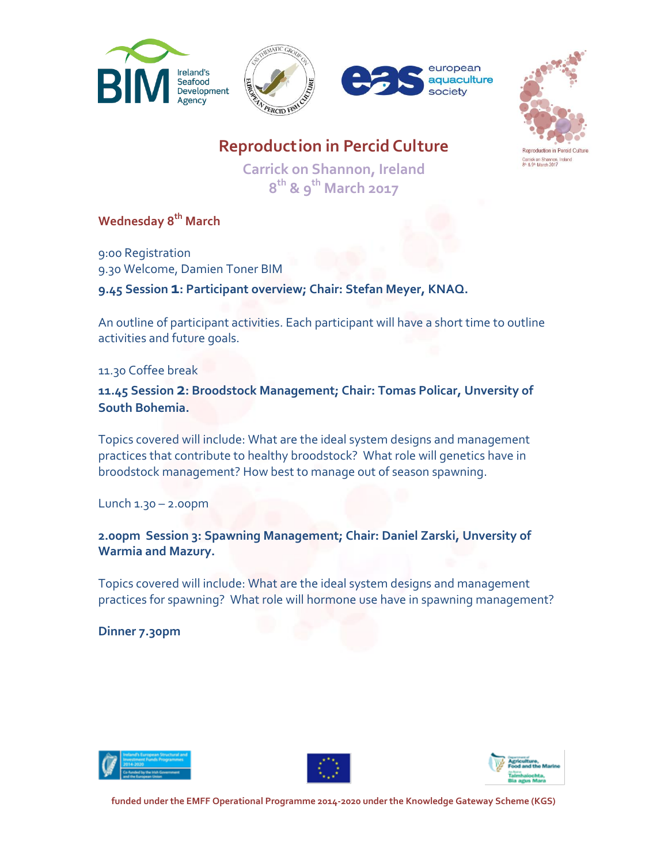







Carrick on Shannon,<br>8ª & 9ª March 2017

**Reproduction in Percid Culture**

**Carrick on Shannon, Ireland 8 th & 9 th March 2017**

**Wednesday 8 th March**

9:00 Registration 9.30 Welcome, Damien Toner BIM

**9.45 Session 1: Participant overview; Chair: Stefan Meyer, KNAQ.**

An outline of participant activities. Each participant will have a short time to outline activities and future goals.

11.30 Coffee break

**11.45 Session 2: Broodstock Management; Chair: Tomas Policar, Unversity of South Bohemia.**

Topics covered will include: What are the ideal system designs and management practices that contribute to healthy broodstock? What role will genetics have in broodstock management? How best to manage out of season spawning.

Lunch 1.30 – 2.00pm

**2.00pm Session 3: Spawning Management; Chair: Daniel Zarski, Unversity of Warmia and Mazury.**

Topics covered will include: What are the ideal system designs and management practices for spawning? What role will hormone use have in spawning management?

**Dinner 7.30pm**





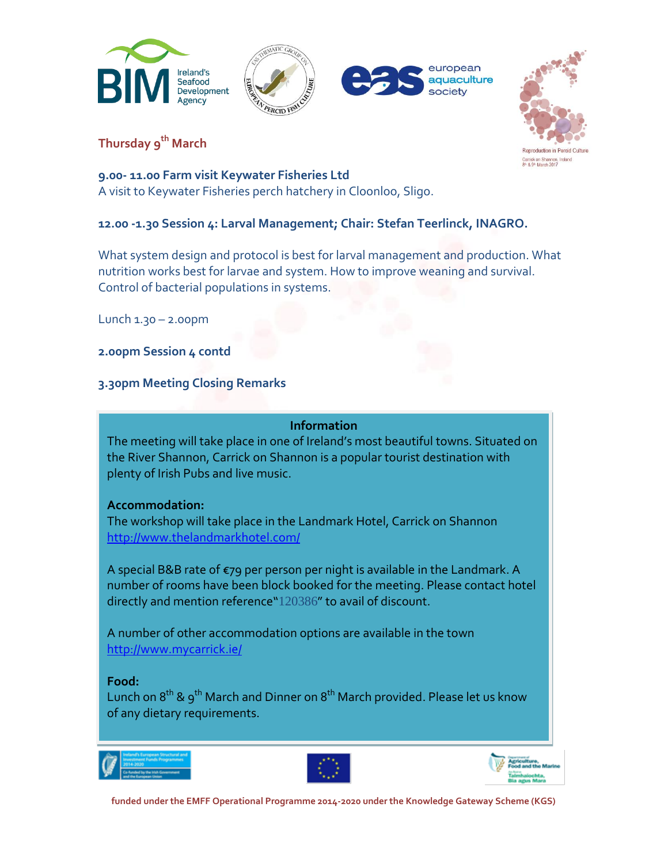







**Thursday 9 th March**

## **9.00- 11.00 Farm visit Keywater Fisheries Ltd**

A visit to Keywater Fisheries perch hatchery in Cloonloo, Sligo.

# **12.00 -1.30 Session 4: Larval Management; Chair: Stefan Teerlinck, INAGRO.**

What system design and protocol is best for larval management and production. What nutrition works best for larvae and system. How to improve weaning and survival. Control of bacterial populations in systems.

Lunch 1.30 – 2.00pm

**2.00pm Session 4 contd**

# **3.30pm Meeting Closing Remarks**

## **Information**

The meeting will take place in one of Ireland's most beautiful towns. Situated on the River Shannon, Carrick on Shannon is a popular tourist destination with plenty of Irish Pubs and live music.

## **Accommodation:**

The workshop will take place in the Landmark Hotel, Carrick on Shannon <http://www.thelandmarkhotel.com/>

A special B&B rate of €79 per person per night is available in the Landmark. A number of rooms have been block booked for the meeting. Please contact hotel directly and mention reference"120386" to avail of discount.

A number of other accommodation options are available in the town <http://www.mycarrick.ie/>

## **Food:**

Lunch on  $8^\text{th}$  &  $9^\text{th}$  March and Dinner on  $8^\text{th}$  March provided. Please let us know of any dietary requirements.